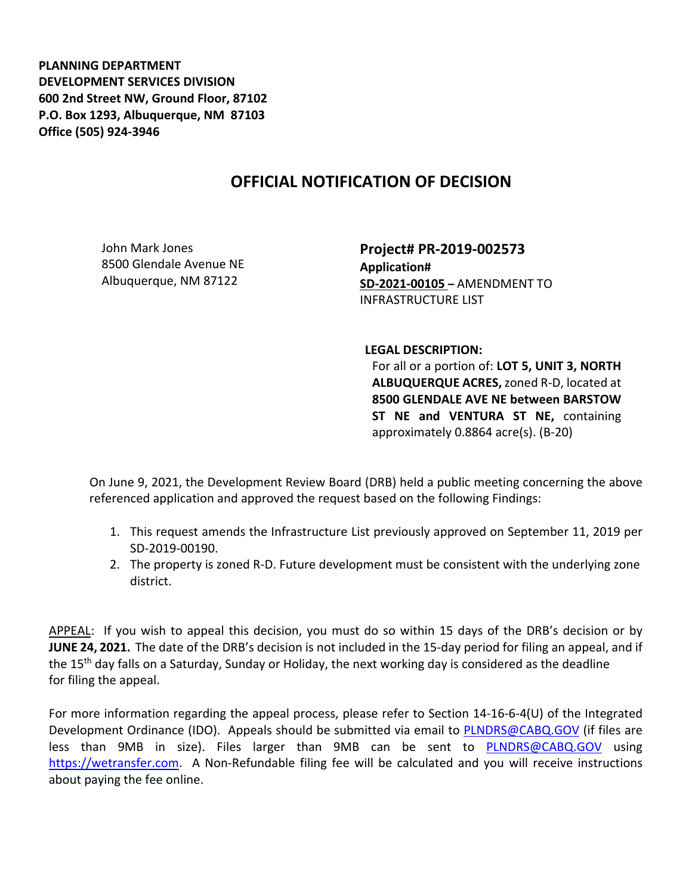**PLANNING DEPARTMENT DEVELOPMENT SERVICES DIVISION 600 2nd Street NW, Ground Floor, 87102 P.O. Box 1293, Albuquerque, NM 87103 Office (505) 924-3946** 

## **OFFICIAL NOTIFICATION OF DECISION**

John Mark Jones 8500 Glendale Avenue NE Albuquerque, NM 87122

**Project# PR-2019-002573 Application# SD-2021-00105 –** AMENDMENT TO INFRASTRUCTURE LIST

**LEGAL DESCRIPTION:**

For all or a portion of: **LOT 5, UNIT 3, NORTH ALBUQUERQUE ACRES,** zoned R-D, located at **8500 GLENDALE AVE NE between BARSTOW ST NE and VENTURA ST NE,** containing approximately 0.8864 acre(s). (B-20)

On June 9, 2021, the Development Review Board (DRB) held a public meeting concerning the above referenced application and approved the request based on the following Findings:

- 1. This request amends the Infrastructure List previously approved on September 11, 2019 per SD-2019-00190.
- 2. The property is zoned R-D. Future development must be consistent with the underlying zone district.

APPEAL: If you wish to appeal this decision, you must do so within 15 days of the DRB's decision or by **JUNE 24, 2021.** The date of the DRB's decision is not included in the 15-day period for filing an appeal, and if the 15<sup>th</sup> day falls on a Saturday, Sunday or Holiday, the next working day is considered as the deadline for filing the appeal.

For more information regarding the appeal process, please refer to Section 14-16-6-4(U) of the Integrated Development Ordinance (IDO). Appeals should be submitted via email to [PLNDRS@CABQ.GOV](mailto:PLNDRS@CABQ.GOV) (if files are less than 9MB in size). Files larger than 9MB can be sent to [PLNDRS@CABQ.GOV](mailto:PLNDRS@CABQ.GOV) using [https://wetransfer.com.](https://wetransfer.com/) A Non-Refundable filing fee will be calculated and you will receive instructions about paying the fee online.